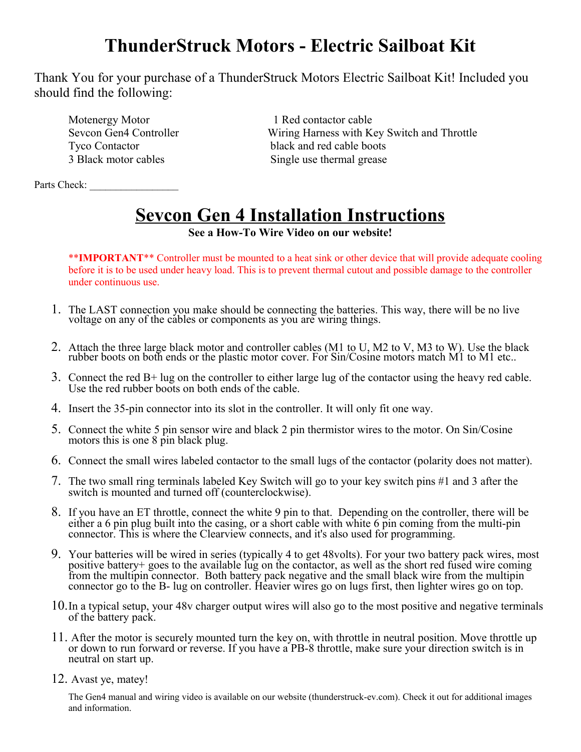### **ThunderStruck Motors - Electric Sailboat Kit**

Thank You for your purchase of a ThunderStruck Motors Electric Sailboat Kit! Included you should find the following:

| Motenergy Motor        |
|------------------------|
| Sevcon Gen4 Controller |
| <b>Tyco Contactor</b>  |
| 3 Black motor cables   |

1 Red contactor cable Wiring Harness with Key Switch and Throttle black and red cable boots Single use thermal grease

Parts Check:

# **Sevcon Gen 4 Installation Instructions**

#### **See a How-To Wire Video on our website!**

\*\***IMPORTANT**\*\* Controller must be mounted to a heat sink or other device that will provide adequate cooling before it is to be used under heavy load. This is to prevent thermal cutout and possible damage to the controller under continuous use.

- 1. The LAST connection you make should be connecting the batteries. This way, there will be no live voltage on any of the cables or components as you are wiring things.
- 2. Attach the three large black motor and controller cables (M1 to U, M2 to V, M3 to W). Use the black rubber boots on both ends or the plastic motor cover. For Sin/Cosine motors match M1 to M1 etc..
- 3. Connect the red B+ lug on the controller to either large lug of the contactor using the heavy red cable. Use the red rubber boots on both ends of the cable.
- 4. Insert the 35-pin connector into its slot in the controller. It will only fit one way.
- 5. Connect the white 5 pin sensor wire and black 2 pin thermistor wires to the motor. On Sin/Cosine motors this is one 8 pin black plug.
- 6. Connect the small wires labeled contactor to the small lugs of the contactor (polarity does not matter).
- 7. The two small ring terminals labeled Key Switch will go to your key switch pins #1 and 3 after the switch is mounted and turned off (counterclockwise).
- 8. If you have an ET throttle, connect the white 9 pin to that. Depending on the controller, there will be either a 6 pin plug built into the casing, or a short cable with white 6 pin coming from the multi-pin connector. This is where the Clearview connects, and it's also used for programming.
- 9. Your batteries will be wired in series (typically 4 to get 48volts). For your two battery pack wires, most positive battery+ goes to the available lug on the contactor, as well as the short red fused wire coming from the multipin connector. Both battery pack negative and the small black wire from the multipin connector go to the B- lug on controller. Heavier wires go on lugs first, then lighter wires go on top.
- 10.In a typical setup, your 48v charger output wires will also go to the most positive and negative terminals of the battery pack.
- 11. After the motor is securely mounted turn the key on, with throttle in neutral position. Move throttle up or down to run forward or reverse. If you have a PB-8 throttle, make sure your direction switch is in neutral on start up.
- 12. Avast ye, matey!

The Gen4 manual and wiring video is available on our website (thunderstruck-ev.com). Check it out for additional images and information.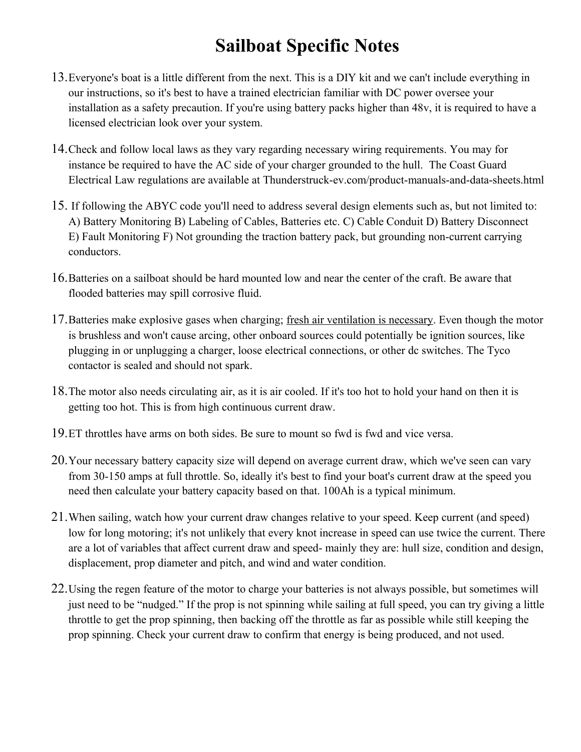# **Sailboat Specific Notes**

- 13.Everyone's boat is a little different from the next. This is a DIY kit and we can't include everything in our instructions, so it's best to have a trained electrician familiar with DC power oversee your installation as a safety precaution. If you're using battery packs higher than 48v, it is required to have a licensed electrician look over your system.
- 14.Check and follow local laws as they vary regarding necessary wiring requirements. You may for instance be required to have the AC side of your charger grounded to the hull. The Coast Guard Electrical Law regulations are available at Thunderstruck-ev.com/product-manuals-and-data-sheets.html
- 15. If following the ABYC code you'll need to address several design elements such as, but not limited to: A) Battery Monitoring B) Labeling of Cables, Batteries etc. C) Cable Conduit D) Battery Disconnect E) Fault Monitoring F) Not grounding the traction battery pack, but grounding non-current carrying conductors.
- 16.Batteries on a sailboat should be hard mounted low and near the center of the craft. Be aware that flooded batteries may spill corrosive fluid.
- 17.Batteries make explosive gases when charging; fresh air ventilation is necessary. Even though the motor is brushless and won't cause arcing, other onboard sources could potentially be ignition sources, like plugging in or unplugging a charger, loose electrical connections, or other dc switches. The Tyco contactor is sealed and should not spark.
- 18.The motor also needs circulating air, as it is air cooled. If it's too hot to hold your hand on then it is getting too hot. This is from high continuous current draw.
- 19.ET throttles have arms on both sides. Be sure to mount so fwd is fwd and vice versa.
- 20.Your necessary battery capacity size will depend on average current draw, which we've seen can vary from 30-150 amps at full throttle. So, ideally it's best to find your boat's current draw at the speed you need then calculate your battery capacity based on that. 100Ah is a typical minimum.
- 21.When sailing, watch how your current draw changes relative to your speed. Keep current (and speed) low for long motoring; it's not unlikely that every knot increase in speed can use twice the current. There are a lot of variables that affect current draw and speed- mainly they are: hull size, condition and design, displacement, prop diameter and pitch, and wind and water condition.
- 22.Using the regen feature of the motor to charge your batteries is not always possible, but sometimes will just need to be "nudged." If the prop is not spinning while sailing at full speed, you can try giving a little throttle to get the prop spinning, then backing off the throttle as far as possible while still keeping the prop spinning. Check your current draw to confirm that energy is being produced, and not used.